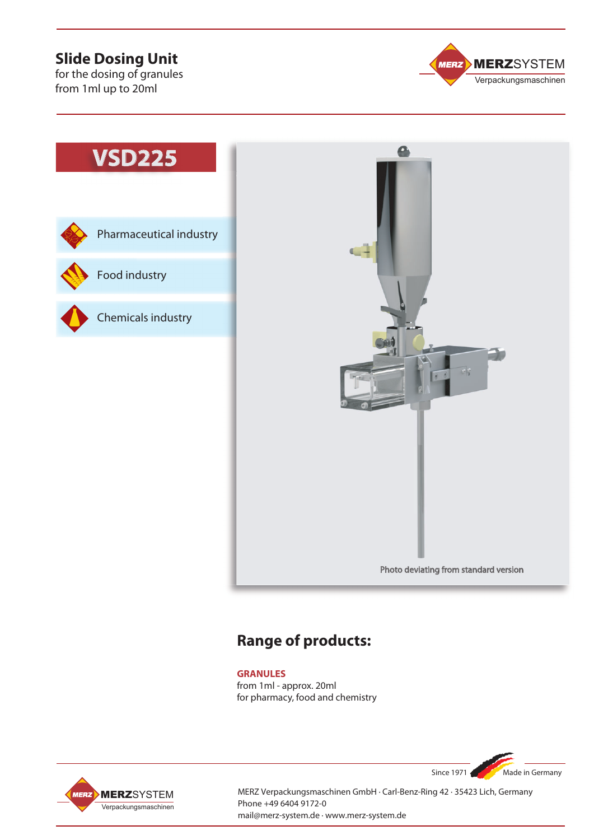## **Slide Dosing Unit**

for the dosing of granules from 1ml up to 20ml



Pharmaceutical industry **VSD225**<br>
Pharmaceutical<br>
Food industry<br>
Chemicals indus

Food industry





# **Range of products:**

### **GRANULES**

from 1ml - approx. 20ml for pharmacy, food and chemistry



MERZ Verpackungsmaschinen GmbH · Carl-Benz-Ring 42 · 35423 Lich, Germany Phone +49 6404 9172-0 mail@merz-system.de · www.merz-system.de

Since 1971 Made in Germany